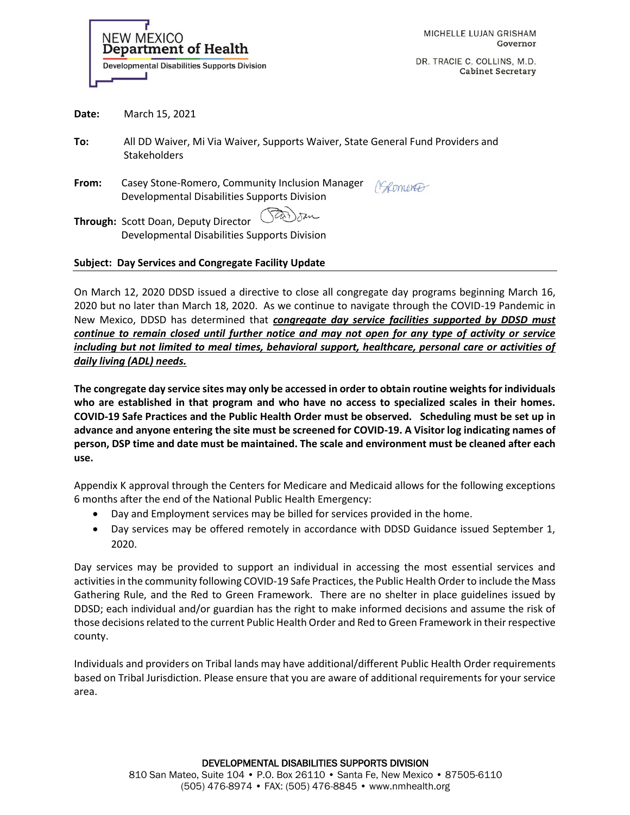

DR. TRACIE C. COLLINS, M.D. **Cabinet Secretary** 

**Date:** March 15, 2021

**To:** All DD Waiver, Mi Via Waiver, Supports Waiver, State General Fund Providers and Stakeholders

**From:** Casey Stone-Romero, Community Inclusion Manager (Somerably) Developmental Disabilities Supports Division

Tar) san **Through:** Scott Doan, Deputy Director Developmental Disabilities Supports Division

## **Subject: Day Services and Congregate Facility Update**

On March 12, 2020 DDSD issued a directive to close all congregate day programs beginning March 16, 2020 but no later than March 18, 2020. As we continue to navigate through the COVID-19 Pandemic in New Mexico, DDSD has determined that *congregate day service facilities supported by DDSD must continue to remain closed until further notice and may not open for any type of activity or service including but not limited to meal times, behavioral support, healthcare, personal care or activities of daily living (ADL) needs.*

**The congregate day service sites may only be accessed in order to obtain routine weights for individuals who are established in that program and who have no access to specialized scales in their homes. COVID-19 Safe Practices and the Public Health Order must be observed. Scheduling must be set up in advance and anyone entering the site must be screened for COVID-19. A Visitor log indicating names of person, DSP time and date must be maintained. The scale and environment must be cleaned after each use.** 

Appendix K approval through the Centers for Medicare and Medicaid allows for the following exceptions 6 months after the end of the National Public Health Emergency:

- Day and Employment services may be billed for services provided in the home.
- Day services may be offered remotely in accordance with DDSD Guidance issued September 1, 2020.

Day services may be provided to support an individual in accessing the most essential services and activities in the community following COVID-19 Safe Practices, the Public Health Order to include the Mass Gathering Rule, and the Red to Green Framework. There are no shelter in place guidelines issued by DDSD; each individual and/or guardian has the right to make informed decisions and assume the risk of those decisions related to the current Public Health Order and Red to Green Framework in their respective county.

Individuals and providers on Tribal lands may have additional/different Public Health Order requirements based on Tribal Jurisdiction. Please ensure that you are aware of additional requirements for your service area.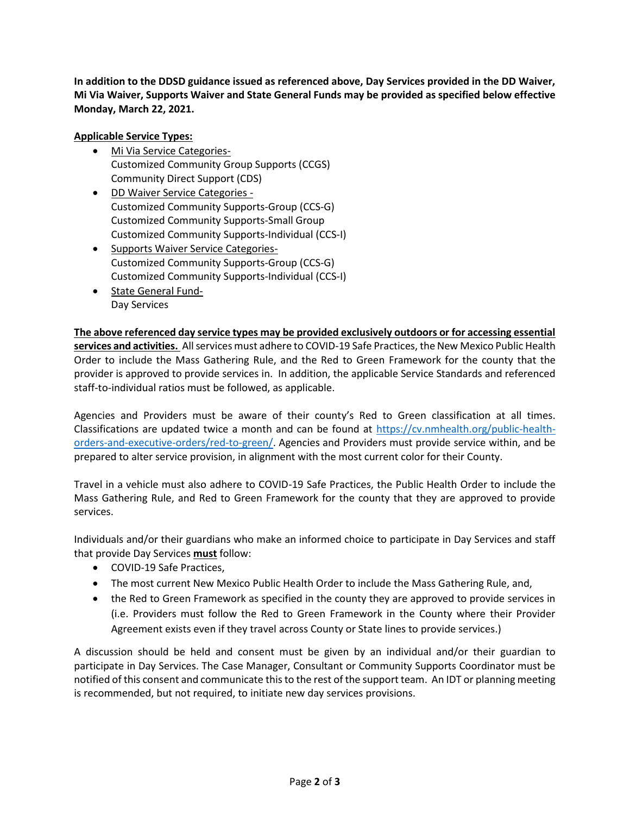**In addition to the DDSD guidance issued as referenced above, Day Services provided in the DD Waiver, Mi Via Waiver, Supports Waiver and State General Funds may be provided as specified below effective Monday, March 22, 2021.** 

## **Applicable Service Types:**

- Mi Via Service Categories-Customized Community Group Supports (CCGS) Community Direct Support (CDS)
- DD Waiver Service Categories Customized Community Supports-Group (CCS-G) Customized Community Supports-Small Group Customized Community Supports-Individual (CCS-I)
- Supports Waiver Service Categories-Customized Community Supports-Group (CCS-G) Customized Community Supports-Individual (CCS-I)

staff-to-individual ratios must be followed, as applicable.

• State General Fund-Day Services

**The above referenced day service types may be provided exclusively outdoors or for accessing essential services and activities.** All services must adhere to COVID-19 Safe Practices, the New Mexico Public Health Order to include the Mass Gathering Rule, and the Red to Green Framework for the county that the provider is approved to provide services in. In addition, the applicable Service Standards and referenced

Agencies and Providers must be aware of their county's Red to Green classification at all times. Classifications are updated twice a month and can be found at [https://cv.nmhealth.org/public-health](https://cv.nmhealth.org/public-health-orders-and-executive-orders/red-to-green/)[orders-and-executive-orders/red-to-green/.](https://cv.nmhealth.org/public-health-orders-and-executive-orders/red-to-green/) Agencies and Providers must provide service within, and be prepared to alter service provision, in alignment with the most current color for their County.

Travel in a vehicle must also adhere to COVID-19 Safe Practices, the Public Health Order to include the Mass Gathering Rule, and Red to Green Framework for the county that they are approved to provide services.

Individuals and/or their guardians who make an informed choice to participate in Day Services and staff that provide Day Services **must** follow:

- COVID-19 Safe Practices,
- The most current New Mexico Public Health Order to include the Mass Gathering Rule, and,
- the Red to Green Framework as specified in the county they are approved to provide services in (i.e. Providers must follow the Red to Green Framework in the County where their Provider Agreement exists even if they travel across County or State lines to provide services.)

A discussion should be held and consent must be given by an individual and/or their guardian to participate in Day Services. The Case Manager, Consultant or Community Supports Coordinator must be notified of this consent and communicate this to the rest of the support team. An IDT or planning meeting is recommended, but not required, to initiate new day services provisions.